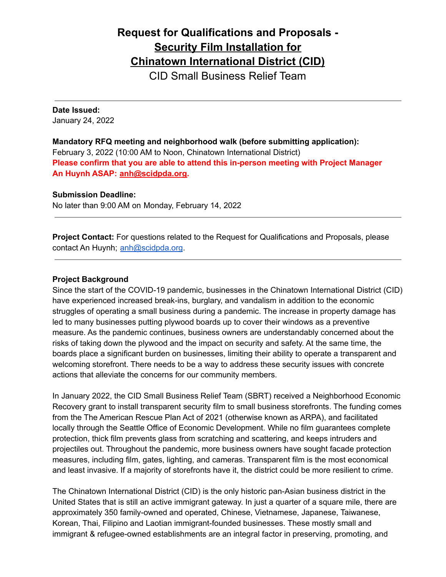# **Request for Qualifications and Proposals - Security Film Installation for Chinatown International District (CID)**

CID Small Business Relief Team

#### **Date Issued:**

January 24, 2022

**Mandatory RFQ meeting and neighborhood walk (before submitting application):** February 3, 2022 (10:00 AM to Noon, Chinatown International District) **Please confirm that you are able to attend this in-person meeting with Project Manager An Huynh ASAP: [anh@scidpda.org.](mailto:anh@scidpda.org)**

#### **Submission Deadline:**

No later than 9:00 AM on Monday, February 14, 2022

**Project Contact:** For questions related to the Request for Qualifications and Proposals, please contact An Huynh; [anh@scidpda.org](mailto:anh@scidpda.org).

#### **Project Background**

Since the start of the COVID-19 pandemic, businesses in the Chinatown International District (CID) have experienced increased break-ins, burglary, and vandalism in addition to the economic struggles of operating a small business during a pandemic. The increase in property damage has led to many businesses putting plywood boards up to cover their windows as a preventive measure. As the pandemic continues, business owners are understandably concerned about the risks of taking down the plywood and the impact on security and safety. At the same time, the boards place a significant burden on businesses, limiting their ability to operate a transparent and welcoming storefront. There needs to be a way to address these security issues with concrete actions that alleviate the concerns for our community members.

In January 2022, the CID Small Business Relief Team (SBRT) received a Neighborhood Economic Recovery grant to install transparent security film to small business storefronts. The funding comes from the The American Rescue Plan Act of 2021 (otherwise known as ARPA), and facilitated locally through the Seattle Office of Economic Development. While no film guarantees complete protection, thick film prevents glass from scratching and scattering, and keeps intruders and projectiles out. Throughout the pandemic, more business owners have sought facade protection measures, including film, gates, lighting, and cameras. Transparent film is the most economical and least invasive. If a majority of storefronts have it, the district could be more resilient to crime.

The Chinatown International District (CID) is the only historic pan-Asian business district in the United States that is still an active immigrant gateway. In just a quarter of a square mile, there are approximately 350 family-owned and operated, Chinese, Vietnamese, Japanese, Taiwanese, Korean, Thai, Filipino and Laotian immigrant-founded businesses. These mostly small and immigrant & refugee-owned establishments are an integral factor in preserving, promoting, and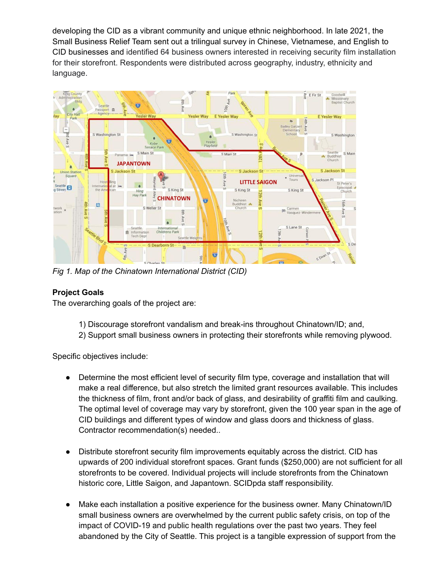developing the CID as a vibrant community and unique ethnic neighborhood. In late 2021, the Small Business Relief Team sent out a trilingual survey in Chinese, Vietnamese, and English to CID businesses and identified 64 business owners interested in receiving security film installation for their storefront. Respondents were distributed across geography, industry, ethnicity and language.



*Fig 1. Map of the Chinatown International District (CID)*

# **Project Goals**

The overarching goals of the project are:

- 1) Discourage storefront vandalism and break-ins throughout Chinatown/ID; and,
- 2) Support small business owners in protecting their storefronts while removing plywood.

Specific objectives include:

- Determine the most efficient level of security film type, coverage and installation that will make a real difference, but also stretch the limited grant resources available. This includes the thickness of film, front and/or back of glass, and desirability of graffiti film and caulking. The optimal level of coverage may vary by storefront, given the 100 year span in the age of CID buildings and different types of window and glass doors and thickness of glass. Contractor recommendation(s) needed..
- Distribute storefront security film improvements equitably across the district. CID has upwards of 200 individual storefront spaces. Grant funds (\$250,000) are not sufficient for all storefronts to be covered. Individual projects will include storefronts from the Chinatown historic core, Little Saigon, and Japantown. SCIDpda staff responsibility.
- Make each installation a positive experience for the business owner. Many Chinatown/ID small business owners are overwhelmed by the current public safety crisis, on top of the impact of COVID-19 and public health regulations over the past two years. They feel abandoned by the City of Seattle. This project is a tangible expression of support from the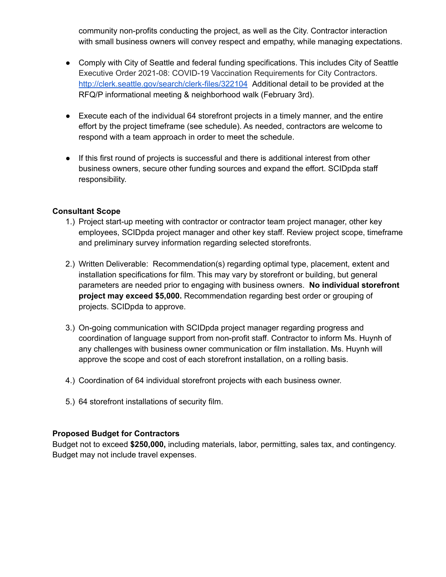community non-profits conducting the project, as well as the City. Contractor interaction with small business owners will convey respect and empathy, while managing expectations.

- Comply with City of Seattle and federal funding specifications. This includes City of Seattle Executive Order 2021-08: COVID-19 Vaccination Requirements for City Contractors. <http://clerk.seattle.gov/search/clerk-files/322104> Additional detail to be provided at the RFQ/P informational meeting & neighborhood walk (February 3rd).
- Execute each of the individual 64 storefront projects in a timely manner, and the entire effort by the project timeframe (see schedule). As needed, contractors are welcome to respond with a team approach in order to meet the schedule.
- If this first round of projects is successful and there is additional interest from other business owners, secure other funding sources and expand the effort. SCIDpda staff responsibility.

## **Consultant Scope**

- 1.) Project start-up meeting with contractor or contractor team project manager, other key employees, SCIDpda project manager and other key staff. Review project scope, timeframe and preliminary survey information regarding selected storefronts.
- 2.) Written Deliverable: Recommendation(s) regarding optimal type, placement, extent and installation specifications for film. This may vary by storefront or building, but general parameters are needed prior to engaging with business owners. **No individual storefront project may exceed \$5,000.** Recommendation regarding best order or grouping of projects. SCIDpda to approve.
- 3.) On-going communication with SCIDpda project manager regarding progress and coordination of language support from non-profit staff. Contractor to inform Ms. Huynh of any challenges with business owner communication or film installation. Ms. Huynh will approve the scope and cost of each storefront installation, on a rolling basis.
- 4.) Coordination of 64 individual storefront projects with each business owner.
- 5.) 64 storefront installations of security film.

#### **Proposed Budget for Contractors**

Budget not to exceed **\$250,000,** including materials, labor, permitting, sales tax, and contingency. Budget may not include travel expenses.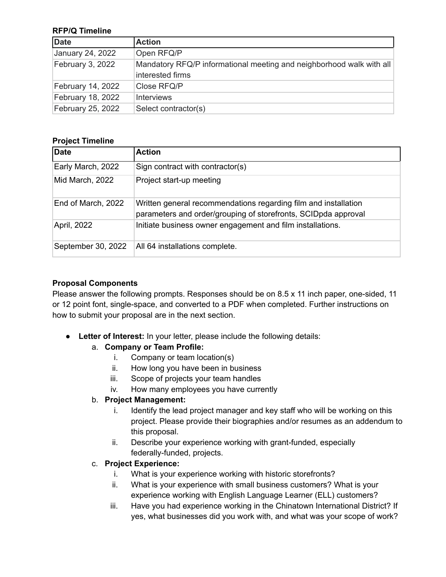#### **RFP/Q Timeline**

| Date              | <b>Action</b>                                                                            |
|-------------------|------------------------------------------------------------------------------------------|
| January 24, 2022  | Open RFQ/P                                                                               |
| February 3, 2022  | Mandatory RFQ/P informational meeting and neighborhood walk with all<br>interested firms |
| February 14, 2022 | Close RFQ/P                                                                              |
| February 18, 2022 | <b>Interviews</b>                                                                        |
| February 25, 2022 | Select contractor(s)                                                                     |

## **Project Timeline**

| Date               | <b>Action</b>                                                                                                                     |
|--------------------|-----------------------------------------------------------------------------------------------------------------------------------|
| Early March, 2022  | Sign contract with contractor(s)                                                                                                  |
| Mid March, 2022    | Project start-up meeting                                                                                                          |
| End of March, 2022 | Written general recommendations regarding film and installation<br>parameters and order/grouping of storefronts, SCIDpda approval |
| April, 2022        | Initiate business owner engagement and film installations.                                                                        |
| September 30, 2022 | All 64 installations complete.                                                                                                    |

## **Proposal Components**

Please answer the following prompts. Responses should be on 8.5 x 11 inch paper, one-sided, 11 or 12 point font, single-space, and converted to a PDF when completed. Further instructions on how to submit your proposal are in the next section.

● **Letter of Interest:** In your letter, please include the following details:

# a. **Company or Team Profile:**

- i. Company or team location(s)
- ii. How long you have been in business
- iii. Scope of projects your team handles
- iv. How many employees you have currently

# b. **Project Management:**

- i. Identify the lead project manager and key staff who will be working on this project. Please provide their biographies and/or resumes as an addendum to this proposal.
- ii. Describe your experience working with grant-funded, especially federally-funded, projects.

# c. **Project Experience:**

- i. What is your experience working with historic storefronts?
- ii. What is your experience with small business customers? What is your experience working with English Language Learner (ELL) customers?
- iii. Have you had experience working in the Chinatown International District? If yes, what businesses did you work with, and what was your scope of work?